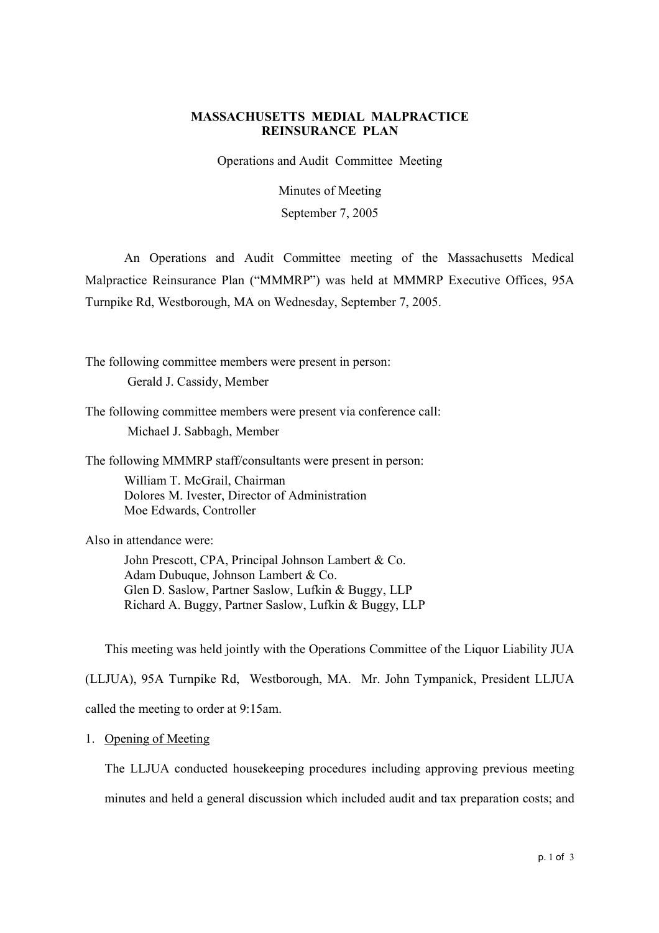# **MASSACHUSETTS MEDIAL MALPRACTICE REINSURANCE PLAN**

Operations and Audit Committee Meeting

Minutes of Meeting September 7, 2005

An Operations and Audit Committee meeting of the Massachusetts Medical Malpractice Reinsurance Plan ("MMMRP") was held at MMMRP Executive Offices, 95A Turnpike Rd, Westborough, MA on Wednesday, September 7, 2005.

The following committee members were present in person: Gerald J. Cassidy, Member

The following committee members were present via conference call: Michael J. Sabbagh, Member

The following MMMRP staff/consultants were present in person:

William T. McGrail, Chairman Dolores M. Ivester, Director of Administration Moe Edwards, Controller

Also in attendance were:

John Prescott, CPA, Principal Johnson Lambert & Co. Adam Dubuque, Johnson Lambert & Co. Glen D. Saslow, Partner Saslow, Lufkin & Buggy, LLP Richard A. Buggy, Partner Saslow, Lufkin & Buggy, LLP

This meeting was held jointly with the Operations Committee of the Liquor Liability JUA

(LLJUA), 95A Turnpike Rd, Westborough, MA. Mr. John Tympanick, President LLJUA called the meeting to order at 9:15am.

1. Opening of Meeting

The LLJUA conducted housekeeping procedures including approving previous meeting minutes and held a general discussion which included audit and tax preparation costs; and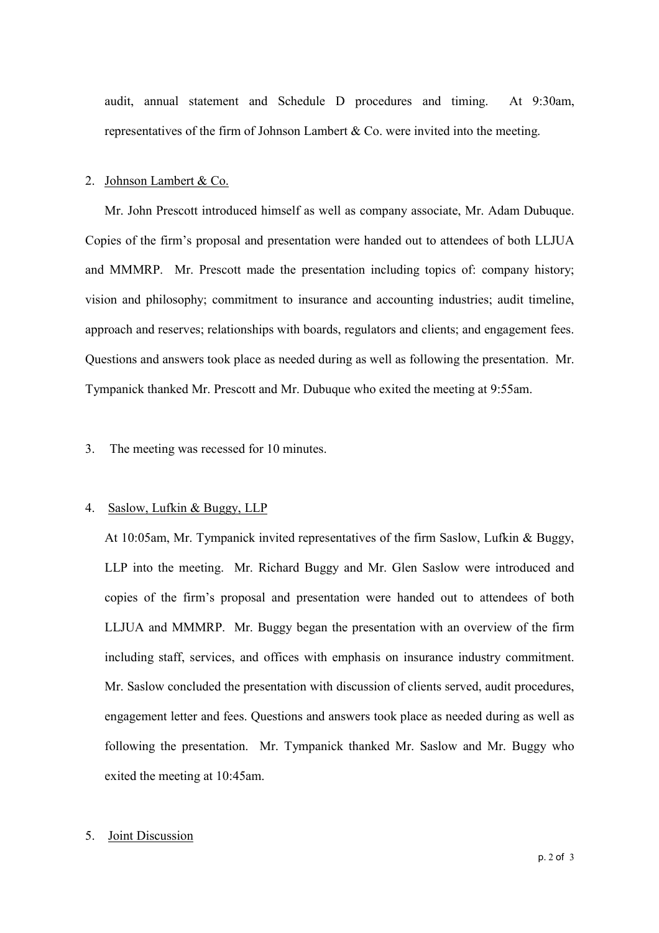audit, annual statement and Schedule D procedures and timing. At 9:30am, representatives of the firm of Johnson Lambert  $\&$  Co. were invited into the meeting.

#### 2. Johnson Lambert & Co.

Mr. John Prescott introduced himself as well as company associate, Mr. Adam Dubuque. Copies of the firm's proposal and presentation were handed out to attendees of both LLJUA and MMMRP. Mr. Prescott made the presentation including topics of: company history; vision and philosophy; commitment to insurance and accounting industries; audit timeline, approach and reserves; relationships with boards, regulators and clients; and engagement fees. Questions and answers took place as needed during as well as following the presentation. Mr. Tympanick thanked Mr. Prescott and Mr. Dubuque who exited the meeting at 9:55am.

### 3. The meeting was recessed for 10 minutes.

#### 4. Saslow, Lufkin & Buggy, LLP

At 10:05am, Mr. Tympanick invited representatives of the firm Saslow, Lufkin & Buggy, LLP into the meeting. Mr. Richard Buggy and Mr. Glen Saslow were introduced and copies of the firmís proposal and presentation were handed out to attendees of both LLJUA and MMMRP. Mr. Buggy began the presentation with an overview of the firm including staff, services, and offices with emphasis on insurance industry commitment. Mr. Saslow concluded the presentation with discussion of clients served, audit procedures, engagement letter and fees. Questions and answers took place as needed during as well as following the presentation. Mr. Tympanick thanked Mr. Saslow and Mr. Buggy who exited the meeting at 10:45am.

#### 5. Joint Discussion